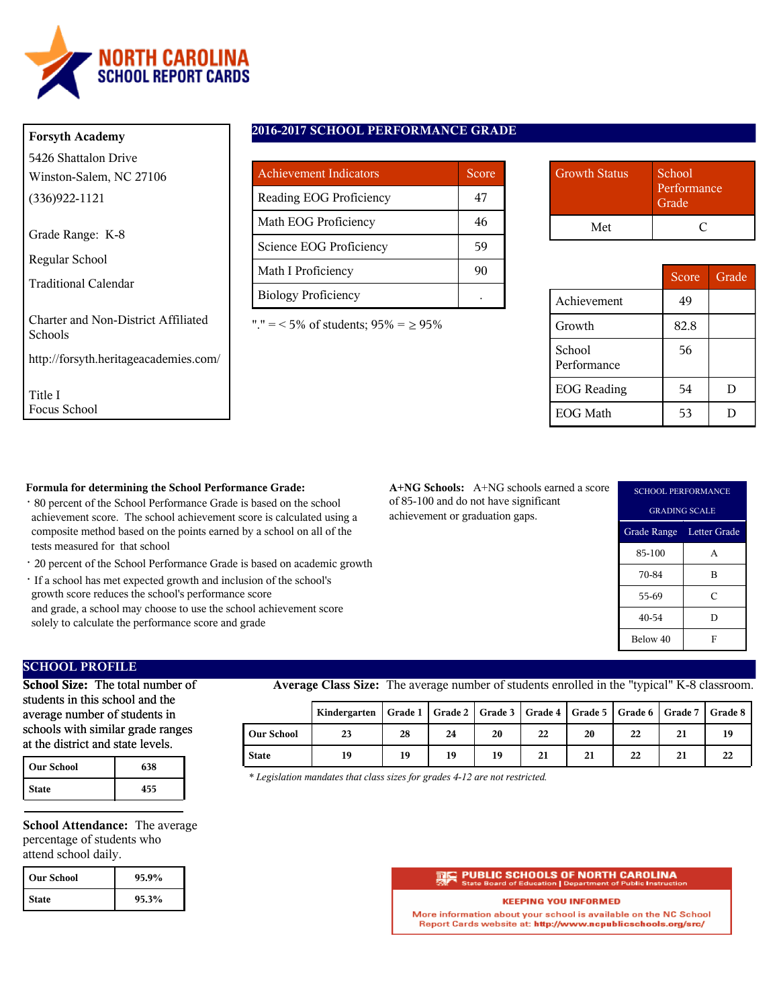

### **Forsyth Academy**

5426 Shattalon Drive Winston-Salem, NC 27106 (336)922-1121

Grade Range: K-8

Regular School

Traditional Calendar

Charter and Non-District Affiliated Schools

http://forsyth.heritageacademies.com/

Title I Focus School

## **2016-2017 SCHOOL PERFORMANCE GRADE**

| <b>Achievement Indicators</b> | Score |
|-------------------------------|-------|
| Reading EOG Proficiency       | 47    |
| Math EOG Proficiency          | 46    |
| Science EOG Proficiency       | 59    |
| Math I Proficiency            | 90    |
| <b>Biology Proficiency</b>    |       |

"." = < 5% of students;  $95\% = \ge 95\%$ 

| <b>Growth Status</b> | School<br>Performance<br>Grade <sup>'</sup> |
|----------------------|---------------------------------------------|
| Met                  |                                             |

|                       | Score | Grade |
|-----------------------|-------|-------|
| Achievement           | 49    |       |
| Growth                | 82.8  |       |
| School<br>Performance | 56    |       |
| <b>EOG</b> Reading    | 54    | D     |
| <b>EOG</b> Math       | 53    |       |

### **Formula for determining the School Performance Grade:**

- · 80 percent of the School Performance Grade is based on the school achievement score. The school achievement score is calculated using a composite method based on the points earned by a school on all of the tests measured for that school
- · 20 percent of the School Performance Grade is based on academic growth
- · If a school has met expected growth and inclusion of the school's growth score reduces the school's performance score and grade, a school may choose to use the school achievement score solely to calculate the performance score and grade

**A+NG Schools:** A+NG schools earned a score of 85-100 and do not have significant achievement or graduation gaps.

| <b>SCHOOL PERFORMANCE</b> |                          |  |  |  |
|---------------------------|--------------------------|--|--|--|
|                           | <b>GRADING SCALE</b>     |  |  |  |
|                           | Grade Range Letter Grade |  |  |  |
| 85-100                    | A                        |  |  |  |
| 70-84                     | B                        |  |  |  |
| 55-69                     | C                        |  |  |  |
| 40-54                     | D                        |  |  |  |
| Below 40                  | F                        |  |  |  |

# **SCHOOL PROFILE**

**School Size:** The total number of students in this school and the average number of students in schools with similar grade ranges at the district and state levels.

| <b>Our School</b> | 638 |
|-------------------|-----|
| <b>State</b>      | 455 |

**School Attendance:** The average percentage of students who attend school daily.

| l Our School | 95.9% |
|--------------|-------|
| <b>State</b> | 95.3% |

**Average Class Size:** The average number of students enrolled in the "typical" K-8 classroom.

|                   | Kindergarten   Grade 1   Grade 2   Grade 3   Grade 4   Grade 5   Grade 6   Grade 7   Grade 8 |    |    |    |    |    |    |    |    |
|-------------------|----------------------------------------------------------------------------------------------|----|----|----|----|----|----|----|----|
| <b>Our School</b> | 23                                                                                           | 28 | 24 | 20 | 22 | 20 | 22 | 21 | 19 |
| <b>State</b>      | 19                                                                                           | 19 | 19 | 19 | 21 | 21 | 22 | 21 | 22 |

*\* Legislation mandates that class sizes for grades 4-12 are not restricted.*

#### **PUBLIC SCHOOLS OF NORTH CAROLINA**

#### **KEEPING YOU INFORMED**

More information about your school is available on the NC School Report Cards website at: http://www.ncpublicschools.org/src/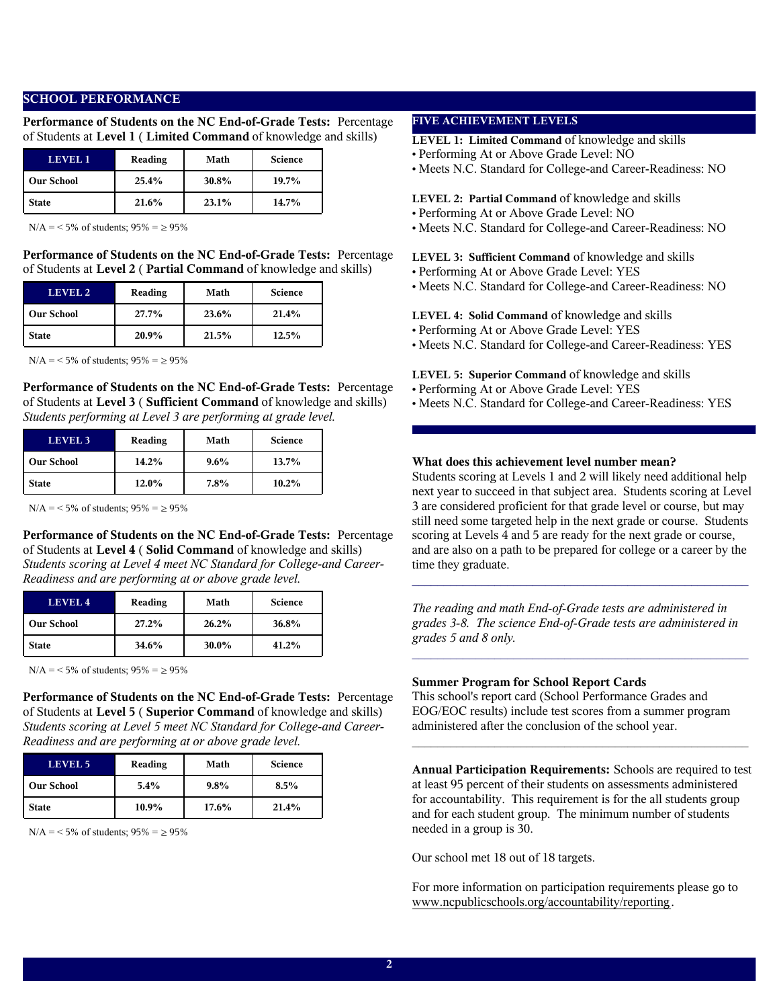### **SCHOOL PERFORMANCE**

**Performance of Students on the NC End-of-Grade Tests:** Percentage of Students at **Level 1** ( **Limited Command** of knowledge and skills)

| LEVEL 1           | Reading | Math  | <b>Science</b> |
|-------------------|---------|-------|----------------|
| <b>Our School</b> | 25.4%   | 30.8% | $19.7\%$       |
| <b>State</b>      | 21.6%   | 23.1% | 14.7%          |

 $N/A = 5\%$  of students;  $95\% = \ge 95\%$ 

**Performance of Students on the NC End-of-Grade Tests:** Percentage of Students at **Level 2** ( **Partial Command** of knowledge and skills)

| LEVEL 2           | Reading | Math  | <b>Science</b> |
|-------------------|---------|-------|----------------|
| <b>Our School</b> | 27.7%   | 23.6% | 21.4%          |
| <b>State</b>      | 20.9%   | 21.5% | 12.5%          |

 $N/A = 5\%$  of students;  $95\% = 95\%$ 

**Performance of Students on the NC End-of-Grade Tests:** Percentage of Students at **Level 3** ( **Sufficient Command** of knowledge and skills) *Students performing at Level 3 are performing at grade level.*

| <b>LEVEL 3</b>    | Reading | Math    | <b>Science</b> |
|-------------------|---------|---------|----------------|
| <b>Our School</b> | 14.2%   | $9.6\%$ | 13.7%          |
| <b>State</b>      | 12.0%   | 7.8%    | $10.2\%$       |

 $N/A = 5\%$  of students;  $95\% = 95\%$ 

**Performance of Students on the NC End-of-Grade Tests:** Percentage of Students at **Level 4** ( **Solid Command** of knowledge and skills) *Students scoring at Level 4 meet NC Standard for College-and Career-Readiness and are performing at or above grade level.*

| LEVEL 4           | Reading | Math  | <b>Science</b> |
|-------------------|---------|-------|----------------|
| <b>Our School</b> | 27.2%   | 26.2% | 36.8%          |
| <b>State</b>      | 34.6%   | 30.0% | 41.2%          |

 $N/A = 5\%$  of students;  $95\% = \ge 95\%$ 

**Performance of Students on the NC End-of-Grade Tests:** Percentage of Students at **Level 5** ( **Superior Command** of knowledge and skills) *Students scoring at Level 5 meet NC Standard for College-and Career-Readiness and are performing at or above grade level.*

| <b>LEVEL 5</b>    | Reading  | Math     | <b>Science</b> |
|-------------------|----------|----------|----------------|
| <b>Our School</b> | 5.4%     | $9.8\%$  | 8.5%           |
| <b>State</b>      | $10.9\%$ | $17.6\%$ | 21.4%          |

 $N/A = 5\%$  of students;  $95\% = \ge 95\%$ 

# **FIVE ACHIEVEMENT LEVELS**

**LEVEL 1: Limited Command** of knowledge and skills

- Performing At or Above Grade Level: NO
- Meets N.C. Standard for College-and Career-Readiness: NO

#### **LEVEL 2: Partial Command** of knowledge and skills

- Performing At or Above Grade Level: NO
- Meets N.C. Standard for College-and Career-Readiness: NO

**LEVEL 3: Sufficient Command** of knowledge and skills

- Performing At or Above Grade Level: YES
- Meets N.C. Standard for College-and Career-Readiness: NO

#### **LEVEL 4: Solid Command** of knowledge and skills

- Performing At or Above Grade Level: YES
- Meets N.C. Standard for College-and Career-Readiness: YES
- **LEVEL 5: Superior Command** of knowledge and skills
- Performing At or Above Grade Level: YES
- Meets N.C. Standard for College-and Career-Readiness: YES

### **What does this achievement level number mean?**

Students scoring at Levels 1 and 2 will likely need additional help next year to succeed in that subject area. Students scoring at Level 3 are considered proficient for that grade level or course, but may still need some targeted help in the next grade or course. Students scoring at Levels 4 and 5 are ready for the next grade or course, and are also on a path to be prepared for college or a career by the time they graduate.

*The reading and math End-of-Grade tests are administered in grades 3-8. The science End-of-Grade tests are administered in grades 5 and 8 only.*

 $\mathcal{L}_\text{max}$  and  $\mathcal{L}_\text{max}$  and  $\mathcal{L}_\text{max}$  and  $\mathcal{L}_\text{max}$  and  $\mathcal{L}_\text{max}$ 

 $\mathcal{L}_\text{max}$  and the contract of the contract of the contract of the contract of the contract of the contract of the contract of the contract of the contract of the contract of the contract of the contract of the contrac

#### **Summer Program for School Report Cards**

This school's report card (School Performance Grades and EOG/EOC results) include test scores from a summer program administered after the conclusion of the school year.

**Annual Participation Requirements:** Schools are required to test at least 95 percent of their students on assessments administered for accountability. This requirement is for the all students group and for each student group. The minimum number of students needed in a group is 30.

 $\mathcal{L}_\text{max}$  and  $\mathcal{L}_\text{max}$  and  $\mathcal{L}_\text{max}$  and  $\mathcal{L}_\text{max}$  and  $\mathcal{L}_\text{max}$ 

Our school met 18 out of 18 targets.

For more information on participation requirements please go to www.ncpublicschools.org/accountability/reporting.